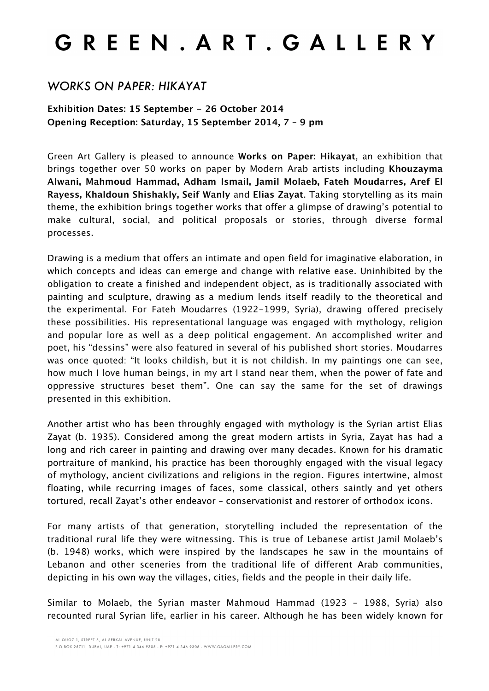## GREEN. ART. GALLERY

## *WORKS ON PAPER: HIKAYAT*

## **Exhibition Dates: 15 September - 26 October 2014 Opening Reception: Saturday, 15 September 2014, 7 – 9 pm**

Green Art Gallery is pleased to announce **Works on Paper: Hikayat**, an exhibition that brings together over 50 works on paper by Modern Arab artists including **Khouzayma Alwani, Mahmoud Hammad, Adham Ismail, Jamil Molaeb, Fateh Moudarres, Aref El Rayess, Khaldoun Shishakly, Seif Wanly** and **Elias Zayat**. Taking storytelling as its main theme, the exhibition brings together works that offer a glimpse of drawing's potential to make cultural, social, and political proposals or stories, through diverse formal processes.

Drawing is a medium that offers an intimate and open field for imaginative elaboration, in which concepts and ideas can emerge and change with relative ease. Uninhibited by the obligation to create a finished and independent object, as is traditionally associated with painting and sculpture, drawing as a medium lends itself readily to the theoretical and the experimental. For Fateh Moudarres (1922-1999, Syria), drawing offered precisely these possibilities. His representational language was engaged with mythology, religion and popular lore as well as a deep political engagement. An accomplished writer and poet, his "dessins" were also featured in several of his published short stories. Moudarres was once quoted: "It looks childish, but it is not childish. In my paintings one can see, how much I love human beings, in my art I stand near them, when the power of fate and oppressive structures beset them". One can say the same for the set of drawings presented in this exhibition.

Another artist who has been throughly engaged with mythology is the Syrian artist Elias Zayat (b. 1935). Considered among the great modern artists in Syria, Zayat has had a long and rich career in painting and drawing over many decades. Known for his dramatic portraiture of mankind, his practice has been thoroughly engaged with the visual legacy of mythology, ancient civilizations and religions in the region. Figures intertwine, almost floating, while recurring images of faces, some classical, others saintly and yet others tortured, recall Zayat's other endeavor – conservationist and restorer of orthodox icons.

For many artists of that generation, storytelling included the representation of the traditional rural life they were witnessing. This is true of Lebanese artist Jamil Molaeb's (b. 1948) works, which were inspired by the landscapes he saw in the mountains of Lebanon and other sceneries from the traditional life of different Arab communities, depicting in his own way the villages, cities, fields and the people in their daily life.

Similar to Molaeb, the Syrian master Mahmoud Hammad (1923 - 1988, Syria) also recounted rural Syrian life, earlier in his career. Although he has been widely known for

P.O.BOX 25711 DUBAI, UAE - T: +971 4 346 9305 - F: +971 4 346 9306 - WWW.GAGALLERY.COM